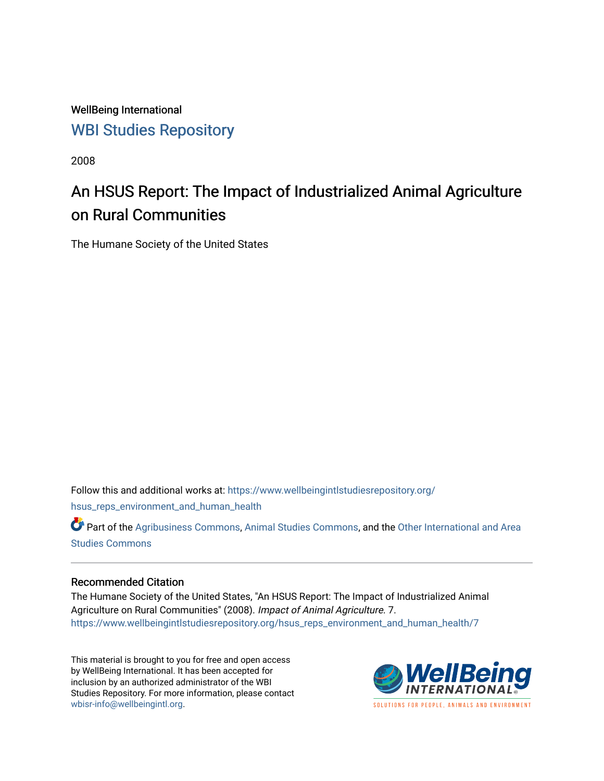WellBeing International [WBI Studies Repository](https://www.wellbeingintlstudiesrepository.org/)

2008

# An HSUS Report: The Impact of Industrialized Animal Agriculture on Rural Communities

The Humane Society of the United States

Follow this and additional works at: [https://www.wellbeingintlstudiesrepository.org/](https://www.wellbeingintlstudiesrepository.org/hsus_reps_environment_and_human_health?utm_source=www.wellbeingintlstudiesrepository.org%2Fhsus_reps_environment_and_human_health%2F7&utm_medium=PDF&utm_campaign=PDFCoverPages) [hsus\\_reps\\_environment\\_and\\_human\\_health](https://www.wellbeingintlstudiesrepository.org/hsus_reps_environment_and_human_health?utm_source=www.wellbeingintlstudiesrepository.org%2Fhsus_reps_environment_and_human_health%2F7&utm_medium=PDF&utm_campaign=PDFCoverPages)

Part of the [Agribusiness Commons,](http://network.bepress.com/hgg/discipline/1051?utm_source=www.wellbeingintlstudiesrepository.org%2Fhsus_reps_environment_and_human_health%2F7&utm_medium=PDF&utm_campaign=PDFCoverPages) [Animal Studies Commons](http://network.bepress.com/hgg/discipline/1306?utm_source=www.wellbeingintlstudiesrepository.org%2Fhsus_reps_environment_and_human_health%2F7&utm_medium=PDF&utm_campaign=PDFCoverPages), and the [Other International and Area](http://network.bepress.com/hgg/discipline/365?utm_source=www.wellbeingintlstudiesrepository.org%2Fhsus_reps_environment_and_human_health%2F7&utm_medium=PDF&utm_campaign=PDFCoverPages) [Studies Commons](http://network.bepress.com/hgg/discipline/365?utm_source=www.wellbeingintlstudiesrepository.org%2Fhsus_reps_environment_and_human_health%2F7&utm_medium=PDF&utm_campaign=PDFCoverPages) 

#### Recommended Citation

The Humane Society of the United States, "An HSUS Report: The Impact of Industrialized Animal Agriculture on Rural Communities" (2008). Impact of Animal Agriculture. 7. [https://www.wellbeingintlstudiesrepository.org/hsus\\_reps\\_environment\\_and\\_human\\_health/7](https://www.wellbeingintlstudiesrepository.org/hsus_reps_environment_and_human_health/7?utm_source=www.wellbeingintlstudiesrepository.org%2Fhsus_reps_environment_and_human_health%2F7&utm_medium=PDF&utm_campaign=PDFCoverPages) 

This material is brought to you for free and open access by WellBeing International. It has been accepted for inclusion by an authorized administrator of the WBI Studies Repository. For more information, please contact [wbisr-info@wellbeingintl.org](mailto:wbisr-info@wellbeingintl.org).



SOLUTIONS FOR PEOPLE. ANIMALS AND ENVIRONMENT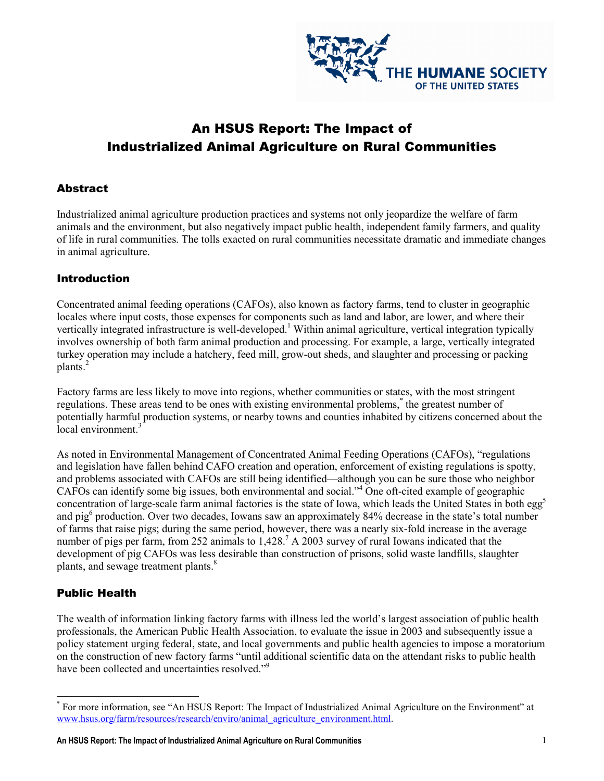

# An HSUS Report: The Impact of Industrialized Animal Agriculture on Rural Communities

#### **Abstract**

Industrialized animal agriculture production practices and systems not only jeopardize the welfare of farm animals and the environment, but also negatively impact public health, independent family farmers, and quality of life in rural communities. The tolls exacted on rural communities necessitate dramatic and immediate changes in animal agriculture.

#### Introduction

Concentrated animal feeding operations (CAFOs), also known as factory farms, tend to cluster in geographic locales where input costs, those expenses for components such as land and labor, are lower, and where their vertically integrated infrastructure is well-developed.<sup>1</sup> Within animal agriculture, vertical integration typically involves ownership of both farm animal production and processing. For example, a large, vertically integrated turkey operation may include a hatchery, feed mill, grow-out sheds, and slaughter and processing or packing plants.<sup>2</sup>

Factory farms are less likely to move into regions, whether communities or states, with the most stringent regulations. These areas tend to be ones with existing environmental problems,<sup>\*</sup> the greatest number of potentially harmful production systems, or nearby towns and counties inhabited by citizens concerned about the local environment.<sup>3</sup>

As noted in Environmental Management of Concentrated Animal Feeding Operations (CAFOs), "regulations and legislation have fallen behind CAFO creation and operation, enforcement of existing regulations is spotty, and problems associated with CAFOs are still being identified—although you can be sure those who neighbor CAFOs can identify some big issues, both environmental and social."<sup>4</sup> One oft-cited example of geographic concentration of large-scale farm animal factories is the state of Iowa, which leads the United States in both  $eg<sup>5</sup>$ and pig<sup>6</sup> production. Over two decades, Iowans saw an approximately 84% decrease in the state's total number of farms that raise pigs; during the same period, however, there was a nearly six-fold increase in the average number of pigs per farm, from 252 animals to  $1,428$ .<sup>7</sup> A 2003 survey of rural Iowans indicated that the development of pig CAFOs was less desirable than construction of prisons, solid waste landfills, slaughter plants, and sewage treatment plants.<sup>8</sup>

## Public Health

The wealth of information linking factory farms with illness led the world's largest association of public health professionals, the American Public Health Association, to evaluate the issue in 2003 and subsequently issue a policy statement urging federal, state, and local governments and public health agencies to impose a moratorium on the construction of new factory farms "until additional scientific data on the attendant risks to public health have been collected and uncertainties resolved."<sup>9</sup>

<sup>\*&</sup>lt;br>
For more information, see "An HSUS Report: The Impact of Industrialized Animal Agriculture on the Environment" at www.hsus.org/farm/resources/research/enviro/animal\_agriculture\_environment.html.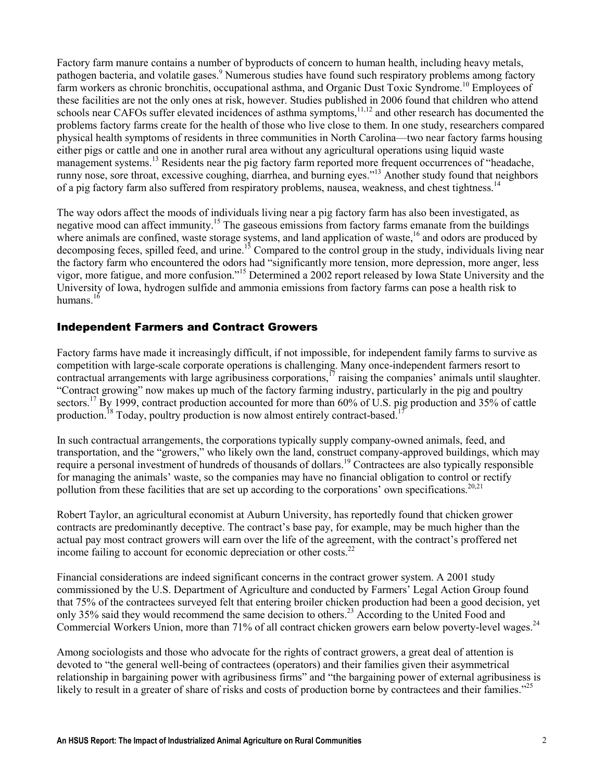Factory farm manure contains a number of byproducts of concern to human health, including heavy metals, pathogen bacteria, and volatile gases.<sup>9</sup> Numerous studies have found such respiratory problems among factory farm workers as chronic bronchitis, occupational asthma, and Organic Dust Toxic Syndrome.<sup>10</sup> Employees of these facilities are not the only ones at risk, however. Studies published in 2006 found that children who attend schools near CAFOs suffer elevated incidences of asthma symptoms,<sup>11,12</sup> and other research has documented the problems factory farms create for the health of those who live close to them. In one study, researchers compared physical health symptoms of residents in three communities in North Carolina—two near factory farms housing either pigs or cattle and one in another rural area without any agricultural operations using liquid waste management systems.<sup>13</sup> Residents near the pig factory farm reported more frequent occurrences of "headache, runny nose, sore throat, excessive coughing, diarrhea, and burning eyes."<sup>13</sup> Another study found that neighbors of a pig factory farm also suffered from respiratory problems, nausea, weakness, and chest tightness.<sup>14</sup>

The way odors affect the moods of individuals living near a pig factory farm has also been investigated, as negative mood can affect immunity.<sup>15</sup> The gaseous emissions from factory farms emanate from the buildings where animals are confined, waste storage systems, and land application of waste,<sup>16</sup> and odors are produced by decomposing feces, spilled feed, and urine.<sup>15</sup> Compared to the control group in the study, individuals living near the factory farm who encountered the odors had "significantly more tension, more depression, more anger, less vigor, more fatigue, and more confusion."<sup>15</sup> Determined a 2002 report released by Iowa State University and the University of Iowa, hydrogen sulfide and ammonia emissions from factory farms can pose a health risk to humans. $16$ 

#### Independent Farmers and Contract Growers

Factory farms have made it increasingly difficult, if not impossible, for independent family farms to survive as competition with large-scale corporate operations is challenging. Many once-independent farmers resort to contractual arrangements with large agribusiness corporations,<sup>17</sup> raising the companies' animals until slaughter. "Contract growing" now makes up much of the factory farming industry, particularly in the pig and poultry sectors.<sup>17</sup> By 1999, contract production accounted for more than 60% of U.S. pig production and 35% of cattle production.<sup>18</sup> Today, poultry production is now almost entirely contract-based.<sup>1</sup>

In such contractual arrangements, the corporations typically supply company-owned animals, feed, and transportation, and the "growers," who likely own the land, construct company-approved buildings, which may require a personal investment of hundreds of thousands of dollars.<sup>19</sup> Contractees are also typically responsible for managing the animals' waste, so the companies may have no financial obligation to control or rectify pollution from these facilities that are set up according to the corporations' own specifications.<sup>20,21</sup>

Robert Taylor, an agricultural economist at Auburn University, has reportedly found that chicken grower contracts are predominantly deceptive. The contract's base pay, for example, may be much higher than the actual pay most contract growers will earn over the life of the agreement, with the contract's proffered net income failing to account for economic depreciation or other costs.<sup>22</sup>

Financial considerations are indeed significant concerns in the contract grower system. A 2001 study commissioned by the U.S. Department of Agriculture and conducted by Farmers' Legal Action Group found that 75% of the contractees surveyed felt that entering broiler chicken production had been a good decision, yet only 35% said they would recommend the same decision to others.<sup>23</sup> According to the United Food and Commercial Workers Union, more than 71% of all contract chicken growers earn below poverty-level wages.<sup>24</sup>

Among sociologists and those who advocate for the rights of contract growers, a great deal of attention is devoted to "the general well-being of contractees (operators) and their families given their asymmetrical relationship in bargaining power with agribusiness firms" and "the bargaining power of external agribusiness is likely to result in a greater of share of risks and costs of production borne by contractees and their families."<sup>25</sup>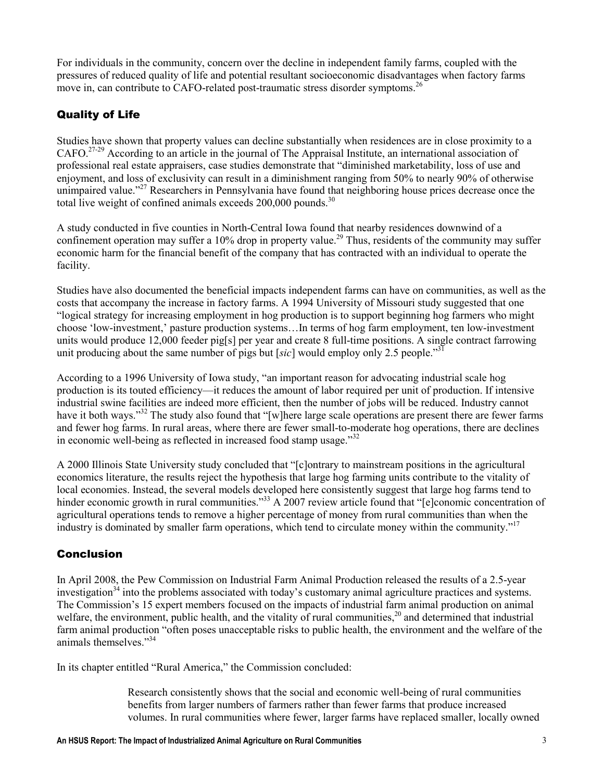For individuals in the community, concern over the decline in independent family farms, coupled with the pressures of reduced quality of life and potential resultant socioeconomic disadvantages when factory farms move in, can contribute to CAFO-related post-traumatic stress disorder symptoms.<sup>26</sup>

# Quality of Life

Studies have shown that property values can decline substantially when residences are in close proximity to a CAFO.27-29 According to an article in the journal of The Appraisal Institute, an international association of professional real estate appraisers, case studies demonstrate that "diminished marketability, loss of use and enjoyment, and loss of exclusivity can result in a diminishment ranging from 50% to nearly 90% of otherwise unimpaired value."<sup>27</sup> Researchers in Pennsylvania have found that neighboring house prices decrease once the total live weight of confined animals exceeds 200,000 pounds.<sup>30</sup>

A study conducted in five counties in North-Central Iowa found that nearby residences downwind of a confinement operation may suffer a 10% drop in property value.<sup>29</sup> Thus, residents of the community may suffer economic harm for the financial benefit of the company that has contracted with an individual to operate the facility.

Studies have also documented the beneficial impacts independent farms can have on communities, as well as the costs that accompany the increase in factory farms. A 1994 University of Missouri study suggested that one "logical strategy for increasing employment in hog production is to support beginning hog farmers who might choose 'low-investment,' pasture production systems…In terms of hog farm employment, ten low-investment units would produce 12,000 feeder pig[s] per year and create 8 full-time positions. A single contract farrowing unit producing about the same number of pigs but [sic] would employ only 2.5 people.<sup>331</sup>

According to a 1996 University of Iowa study, "an important reason for advocating industrial scale hog production is its touted efficiency—it reduces the amount of labor required per unit of production. If intensive industrial swine facilities are indeed more efficient, then the number of jobs will be reduced. Industry cannot have it both ways."<sup>32</sup> The study also found that "[w]here large scale operations are present there are fewer farms and fewer hog farms. In rural areas, where there are fewer small-to-moderate hog operations, there are declines in economic well-being as reflected in increased food stamp usage."<sup>32</sup>

A 2000 Illinois State University study concluded that "[c]ontrary to mainstream positions in the agricultural economics literature, the results reject the hypothesis that large hog farming units contribute to the vitality of local economies. Instead, the several models developed here consistently suggest that large hog farms tend to hinder economic growth in rural communities."<sup>33</sup> A 2007 review article found that "[e]conomic concentration of agricultural operations tends to remove a higher percentage of money from rural communities than when the industry is dominated by smaller farm operations, which tend to circulate money within the community."<sup>17</sup>

## Conclusion

In April 2008, the Pew Commission on Industrial Farm Animal Production released the results of a 2.5-year investigation<sup>34</sup> into the problems associated with today's customary animal agriculture practices and systems. The Commission's 15 expert members focused on the impacts of industrial farm animal production on animal welfare, the environment, public health, and the vitality of rural communities,<sup>20</sup> and determined that industrial farm animal production "often poses unacceptable risks to public health, the environment and the welfare of the animals themselves."<sup>34</sup>

In its chapter entitled "Rural America," the Commission concluded:

Research consistently shows that the social and economic well-being of rural communities benefits from larger numbers of farmers rather than fewer farms that produce increased volumes. In rural communities where fewer, larger farms have replaced smaller, locally owned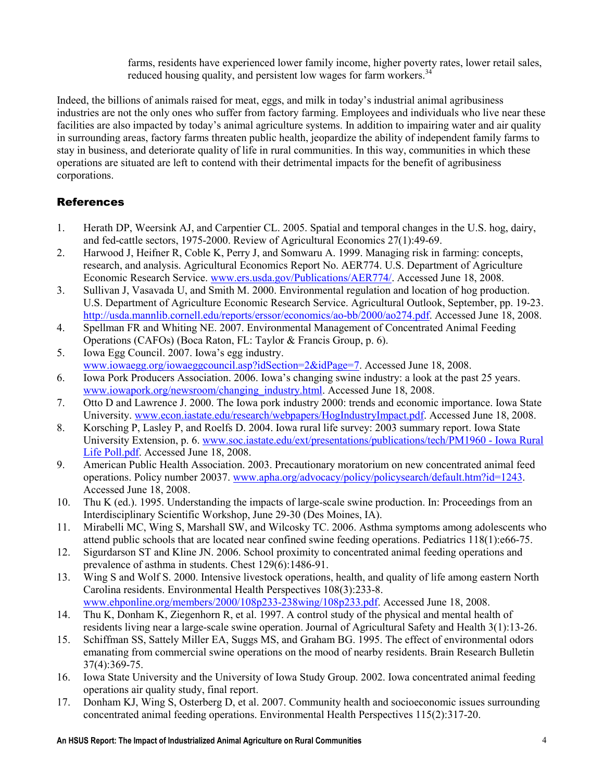farms, residents have experienced lower family income, higher poverty rates, lower retail sales, reduced housing quality, and persistent low wages for farm workers.<sup>34</sup>

Indeed, the billions of animals raised for meat, eggs, and milk in today's industrial animal agribusiness industries are not the only ones who suffer from factory farming. Employees and individuals who live near these facilities are also impacted by today's animal agriculture systems. In addition to impairing water and air quality in surrounding areas, factory farms threaten public health, jeopardize the ability of independent family farms to stay in business, and deteriorate quality of life in rural communities. In this way, communities in which these operations are situated are left to contend with their detrimental impacts for the benefit of agribusiness corporations.

# References

- 1. Herath DP, Weersink AJ, and Carpentier CL. 2005. Spatial and temporal changes in the U.S. hog, dairy, and fed-cattle sectors, 1975-2000. Review of Agricultural Economics 27(1):49-69.
- 2. Harwood J, Heifner R, Coble K, Perry J, and Somwaru A. 1999. Managing risk in farming: concepts, research, and analysis. Agricultural Economics Report No. AER774. U.S. Department of Agriculture Economic Research Service. www.ers.usda.gov/Publications/AER774/. Accessed June 18, 2008.
- 3. Sullivan J, Vasavada U, and Smith M. 2000. Environmental regulation and location of hog production. U.S. Department of Agriculture Economic Research Service. Agricultural Outlook, September, pp. 19-23. http://usda.mannlib.cornell.edu/reports/erssor/economics/ao-bb/2000/ao274.pdf. Accessed June 18, 2008.
- 4. Spellman FR and Whiting NE. 2007. Environmental Management of Concentrated Animal Feeding Operations (CAFOs) (Boca Raton, FL: Taylor & Francis Group, p. 6).
- 5. Iowa Egg Council. 2007. Iowa's egg industry. www.iowaegg.org/iowaeggcouncil.asp?idSection=2&idPage=7. Accessed June 18, 2008.
- 6. Iowa Pork Producers Association. 2006. Iowa's changing swine industry: a look at the past 25 years. www.iowapork.org/newsroom/changing\_industry.html. Accessed June 18, 2008.
- 7. Otto D and Lawrence J. 2000. The Iowa pork industry 2000: trends and economic importance. Iowa State University. www.econ.iastate.edu/research/webpapers/HogIndustryImpact.pdf. Accessed June 18, 2008.
- 8. Korsching P, Lasley P, and Roelfs D. 2004. Iowa rural life survey: 2003 summary report. Iowa State University Extension, p. 6. www.soc.iastate.edu/ext/presentations/publications/tech/PM1960 - Iowa Rural Life Poll.pdf. Accessed June 18, 2008.
- 9. American Public Health Association. 2003. Precautionary moratorium on new concentrated animal feed operations. Policy number 20037. www.apha.org/advocacy/policy/policysearch/default.htm?id=1243. Accessed June 18, 2008.
- 10. Thu K (ed.). 1995. Understanding the impacts of large-scale swine production. In: Proceedings from an Interdisciplinary Scientific Workshop, June 29-30 (Des Moines, IA).
- 11. Mirabelli MC, Wing S, Marshall SW, and Wilcosky TC. 2006. Asthma symptoms among adolescents who attend public schools that are located near confined swine feeding operations. Pediatrics 118(1):e66-75.
- 12. Sigurdarson ST and Kline JN. 2006. School proximity to concentrated animal feeding operations and prevalence of asthma in students. Chest 129(6):1486-91.
- 13. Wing S and Wolf S. 2000. Intensive livestock operations, health, and quality of life among eastern North Carolina residents. Environmental Health Perspectives 108(3):233-8. www.ehponline.org/members/2000/108p233-238wing/108p233.pdf. Accessed June 18, 2008.
- 14. Thu K, Donham K, Ziegenhorn R, et al. 1997. A control study of the physical and mental health of residents living near a large-scale swine operation. Journal of Agricultural Safety and Health 3(1):13-26.
- 15. Schiffman SS, Sattely Miller EA, Suggs MS, and Graham BG. 1995. The effect of environmental odors emanating from commercial swine operations on the mood of nearby residents. Brain Research Bulletin 37(4):369-75.
- 16. Iowa State University and the University of Iowa Study Group. 2002. Iowa concentrated animal feeding operations air quality study, final report.
- 17. Donham KJ, Wing S, Osterberg D, et al. 2007. Community health and socioeconomic issues surrounding concentrated animal feeding operations. Environmental Health Perspectives 115(2):317-20.